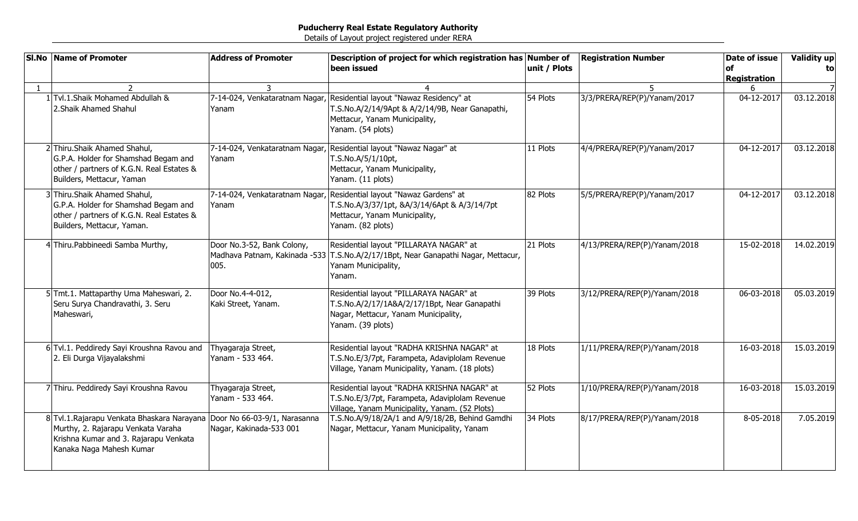|              | <b>SI.No Name of Promoter</b>                                                                                                                                                       | <b>Address of Promoter</b>              | Description of project for which registration has Number of<br>been issued                                                                                                      | unit / Plots | <b>Registration Number</b>   | Date of issue<br><b>of</b><br><b>Registration</b> | Validity up<br>to |
|--------------|-------------------------------------------------------------------------------------------------------------------------------------------------------------------------------------|-----------------------------------------|---------------------------------------------------------------------------------------------------------------------------------------------------------------------------------|--------------|------------------------------|---------------------------------------------------|-------------------|
| $\mathbf{1}$ |                                                                                                                                                                                     | 3                                       |                                                                                                                                                                                 |              |                              | 6                                                 |                   |
|              | 1 Tvl.1.Shaik Mohamed Abdullah &<br>2. Shaik Ahamed Shahul                                                                                                                          | Yanam                                   | 7-14-024, Venkataratnam Nagar, Residential layout "Nawaz Residency" at<br>T.S.No.A/2/14/9Apt & A/2/14/9B, Near Ganapathi,<br>Mettacur, Yanam Municipality,<br>Yanam. (54 plots) | 54 Plots     | 3/3/PRERA/REP(P)/Yanam/2017  | 04-12-2017                                        | 03.12.2018        |
|              | 2 Thiru.Shaik Ahamed Shahul,<br>G.P.A. Holder for Shamshad Begam and<br>other / partners of K.G.N. Real Estates &<br>Builders, Mettacur, Yaman                                      | Yanam                                   | 7-14-024, Venkataratnam Nagar, Residential layout "Nawaz Nagar" at<br>T.S.No.A/5/1/10pt,<br>Mettacur, Yanam Municipality,<br>Yanam. (11 plots)                                  | 11 Plots     | 4/4/PRERA/REP(P)/Yanam/2017  | 04-12-2017                                        | 03.12.2018        |
|              | 3 Thiru.Shaik Ahamed Shahul,<br>G.P.A. Holder for Shamshad Begam and<br>other / partners of K.G.N. Real Estates &<br>Builders, Mettacur, Yaman.                                     | Yanam                                   | 7-14-024, Venkataratnam Nagar, Residential layout "Nawaz Gardens" at<br>T.S.No.A/3/37/1pt, &A/3/14/6Apt & A/3/14/7pt<br>Mettacur, Yanam Municipality,<br>Yanam. (82 plots)      | 82 Plots     | 5/5/PRERA/REP(P)/Yanam/2017  | 04-12-2017                                        | 03.12.2018        |
|              | 4 Thiru. Pabbineedi Samba Murthy,                                                                                                                                                   | Door No.3-52, Bank Colony,<br>005.      | Residential layout "PILLARAYA NAGAR" at<br>Madhava Patnam, Kakinada -533 T.S.No.A/2/17/1Bpt, Near Ganapathi Nagar, Mettacur,<br>Yanam Municipality,<br>Yanam.                   | 21 Plots     | 4/13/PRERA/REP(P)/Yanam/2018 | 15-02-2018                                        | 14.02.2019        |
|              | 5 Tmt.1. Mattaparthy Uma Maheswari, 2.<br>Seru Surya Chandravathi, 3. Seru<br>Maheswari,                                                                                            | Door No.4-4-012,<br>Kaki Street, Yanam. | Residential layout "PILLARAYA NAGAR" at<br>T.S.No.A/2/17/1A&A/2/17/1Bpt, Near Ganapathi<br>Nagar, Mettacur, Yanam Municipality,<br>Yanam. (39 plots)                            | 39 Plots     | 3/12/PRERA/REP(P)/Yanam/2018 | 06-03-2018                                        | 05.03.2019        |
|              | 6 Tvl.1. Peddiredy Sayi Kroushna Ravou and<br>2. Eli Durga Vijayalakshmi                                                                                                            | Thyagaraja Street,<br>Yanam - 533 464.  | Residential layout "RADHA KRISHNA NAGAR" at<br>T.S.No.E/3/7pt, Farampeta, Adaviplolam Revenue<br>Village, Yanam Municipality, Yanam. (18 plots)                                 | 18 Plots     | 1/11/PRERA/REP(P)/Yanam/2018 | 16-03-2018                                        | 15.03.2019        |
|              | 7 Thiru. Peddiredy Sayi Kroushna Ravou                                                                                                                                              | Thyagaraja Street,<br>Yanam - 533 464.  | Residential layout "RADHA KRISHNA NAGAR" at<br>T.S.No.E/3/7pt, Farampeta, Adaviplolam Revenue<br>Village, Yanam Municipality, Yanam. (52 Plots)                                 | 52 Plots     | 1/10/PRERA/REP(P)/Yanam/2018 | 16-03-2018                                        | 15.03.2019        |
|              | 8 Tvl.1. Rajarapu Venkata Bhaskara Narayana Door No 66-03-9/1, Narasanna<br>Murthy, 2. Rajarapu Venkata Varaha<br>Krishna Kumar and 3. Rajarapu Venkata<br>Kanaka Naga Mahesh Kumar | Nagar, Kakinada-533 001                 | T.S.No.A/9/18/2A/1 and A/9/18/2B, Behind Gamdhi<br>Nagar, Mettacur, Yanam Municipality, Yanam                                                                                   | 34 Plots     | 8/17/PRERA/REP(P)/Yanam/2018 | 8-05-2018                                         | 7.05.2019         |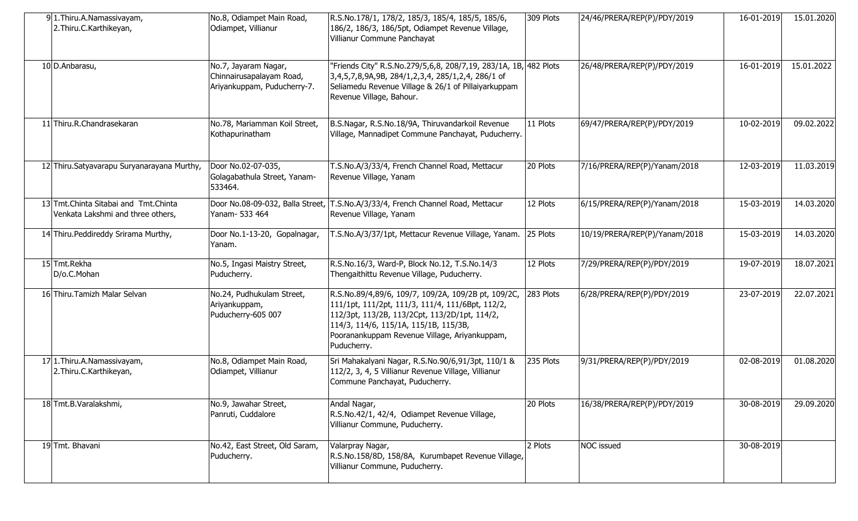| 91.Thiru.A.Namassivayam,<br>2. Thiru.C. Karthikeyan,                        | No.8, Odiampet Main Road,<br>Odiampet, Villianur                                | R.S.No.178/1, 178/2, 185/3, 185/4, 185/5, 185/6,<br>186/2, 186/3, 186/5pt, Odiampet Revenue Village,<br>Villianur Commune Panchayat                                                                                                                               | 309 Plots | 24/46/PRERA/REP(P)/PDY/2019   | 16-01-2019 | 15.01.2020 |
|-----------------------------------------------------------------------------|---------------------------------------------------------------------------------|-------------------------------------------------------------------------------------------------------------------------------------------------------------------------------------------------------------------------------------------------------------------|-----------|-------------------------------|------------|------------|
| 10 D.Anbarasu,                                                              | No.7, Jayaram Nagar,<br>Chinnairusapalayam Road,<br>Ariyankuppam, Puducherry-7. | "Friends City" R.S.No.279/5,6,8, 208/7,19, 283/1A, 1B, 482 Plots<br>3,4,5,7,8,9A,9B, 284/1,2,3,4, 285/1,2,4, 286/1 of<br>Seliamedu Revenue Village & 26/1 of Pillaiyarkuppam<br>Revenue Village, Bahour.                                                          |           | 26/48/PRERA/REP(P)/PDY/2019   | 16-01-2019 | 15.01.2022 |
| 11 Thiru.R.Chandrasekaran                                                   | No.78, Mariamman Koil Street,<br>Kothapurinatham                                | B.S.Nagar, R.S.No.18/9A, Thiruvandarkoil Revenue<br>Village, Mannadipet Commune Panchayat, Puducherry.                                                                                                                                                            | 11 Plots  | 69/47/PRERA/REP(P)/PDY/2019   | 10-02-2019 | 09.02.2022 |
| 12 Thiru. Satyavarapu Suryanarayana Murthy,                                 | Door No.02-07-035,<br>Golagabathula Street, Yanam-<br>533464.                   | T.S.No.A/3/33/4, French Channel Road, Mettacur<br>Revenue Village, Yanam                                                                                                                                                                                          | 20 Plots  | 7/16/PRERA/REP(P)/Yanam/2018  | 12-03-2019 | 11.03.2019 |
| 13 Tmt. Chinta Sitabai and Tmt. Chinta<br>Venkata Lakshmi and three others, | Door No.08-09-032, Balla Street,<br>Yanam- 533 464                              | T.S.No.A/3/33/4, French Channel Road, Mettacur<br>Revenue Village, Yanam                                                                                                                                                                                          | 12 Plots  | 6/15/PRERA/REP(P)/Yanam/2018  | 15-03-2019 | 14.03.2020 |
| 14 Thiru. Peddireddy Srirama Murthy,                                        | Door No.1-13-20, Gopalnagar,<br>Yanam.                                          | T.S.No.A/3/37/1pt, Mettacur Revenue Village, Yanam.                                                                                                                                                                                                               | 25 Plots  | 10/19/PRERA/REP(P)/Yanam/2018 | 15-03-2019 | 14.03.2020 |
| 15 Tmt.Rekha<br>D/o.C.Mohan                                                 | No.5, Ingasi Maistry Street,<br>Puducherry.                                     | R.S.No.16/3, Ward-P, Block No.12, T.S.No.14/3<br>Thengaithittu Revenue Village, Puducherry.                                                                                                                                                                       | 12 Plots  | 7/29/PRERA/REP(P)/PDY/2019    | 19-07-2019 | 18.07.2021 |
| 16 Thiru. Tamizh Malar Selvan                                               | No.24, Pudhukulam Street,<br>Ariyankuppam,<br>Puducherry-605 007                | R.S.No.89/4,89/6, 109/7, 109/2A, 109/2B pt, 109/2C,<br>111/1pt, 111/2pt, 111/3, 111/4, 111/6Bpt, 112/2,<br>112/3pt, 113/2B, 113/2Cpt, 113/2D/1pt, 114/2,<br>114/3, 114/6, 115/1A, 115/1B, 115/3B,<br>Pooranankuppam Revenue Village, Ariyankuppam,<br>Puducherry. | 283 Plots | 6/28/PRERA/REP(P)/PDY/2019    | 23-07-2019 | 22.07.2021 |
| 17 1. Thiru. A. Namassivayam,<br>2. Thiru.C. Karthikeyan,                   | No.8, Odiampet Main Road,<br>Odiampet, Villianur                                | Sri Mahakalyani Nagar, R.S.No.90/6,91/3pt, 110/1 &<br>112/2, 3, 4, 5 Villianur Revenue Village, Villianur<br>Commune Panchayat, Puducherry.                                                                                                                       | 235 Plots | 9/31/PRERA/REP(P)/PDY/2019    | 02-08-2019 | 01.08.2020 |
| 18 Tmt.B.Varalakshmi,                                                       | No.9, Jawahar Street,<br>Panruti, Cuddalore                                     | Andal Nagar,<br>R.S.No.42/1, 42/4, Odiampet Revenue Village,<br>Villianur Commune, Puducherry.                                                                                                                                                                    | 20 Plots  | 16/38/PRERA/REP(P)/PDY/2019   | 30-08-2019 | 29.09.2020 |
| 19 Tmt. Bhavani                                                             | No.42, East Street, Old Saram,<br>Puducherry.                                   | Valarpray Nagar,<br>R.S.No.158/8D, 158/8A, Kurumbapet Revenue Village,<br>Villianur Commune, Puducherry.                                                                                                                                                          | 2 Plots   | <b>NOC</b> issued             | 30-08-2019 |            |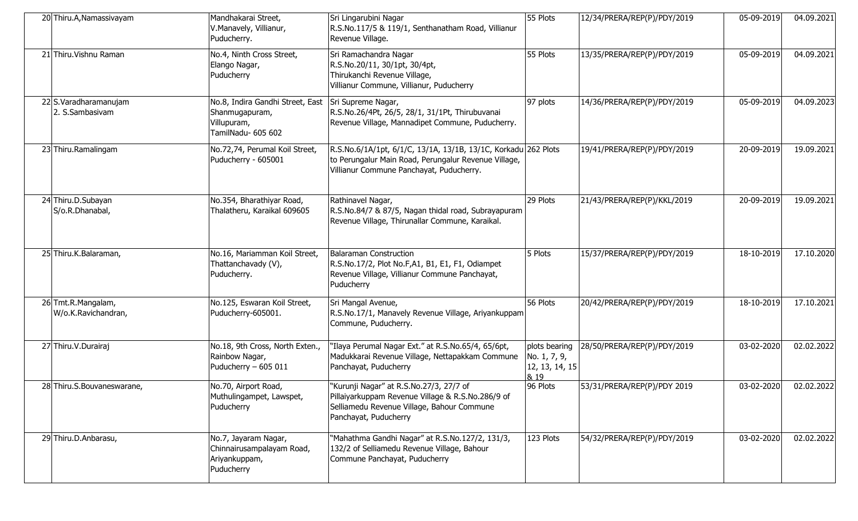| 20 Thiru.A, Namassivayam                  | Mandhakarai Street,<br>V.Manavely, Villianur,<br>Puducherry.                            | Sri Lingarubini Nagar<br>R.S.No.117/5 & 119/1, Senthanatham Road, Villianur<br>Revenue Village.                                                                     | 55 Plots                                                | 12/34/PRERA/REP(P)/PDY/2019 | 05-09-2019 | 04.09.2021 |
|-------------------------------------------|-----------------------------------------------------------------------------------------|---------------------------------------------------------------------------------------------------------------------------------------------------------------------|---------------------------------------------------------|-----------------------------|------------|------------|
| 21 Thiru. Vishnu Raman                    | No.4, Ninth Cross Street,<br>Elango Nagar,<br>Puducherry                                | Sri Ramachandra Nagar<br>R.S.No.20/11, 30/1pt, 30/4pt,<br>Thirukanchi Revenue Village,<br>Villianur Commune, Villianur, Puducherry                                  | 55 Plots                                                | 13/35/PRERA/REP(P)/PDY/2019 | 05-09-2019 | 04.09.2021 |
| 22 S.Varadharamanujam<br>2. S.Sambasivam  | No.8, Indira Gandhi Street, East<br>Shanmugapuram,<br>Villupuram,<br>TamilNadu- 605 602 | Sri Supreme Nagar,<br>R.S.No.26/4Pt, 26/5, 28/1, 31/1Pt, Thirubuvanai<br>Revenue Village, Mannadipet Commune, Puducherry.                                           | 97 plots                                                | 14/36/PRERA/REP(P)/PDY/2019 | 05-09-2019 | 04.09.2023 |
| 23 Thiru.Ramalingam                       | No.72,74, Perumal Koil Street,<br>Puducherry - 605001                                   | R.S.No.6/1A/1pt, 6/1/C, 13/1A, 13/1B, 13/1C, Korkadu 262 Plots<br>to Perungalur Main Road, Perungalur Revenue Village,<br>Villianur Commune Panchayat, Puducherry.  |                                                         | 19/41/PRERA/REP(P)/PDY/2019 | 20-09-2019 | 19.09.2021 |
| 24 Thiru.D.Subayan<br>S/o.R.Dhanabal,     | No.354, Bharathiyar Road,<br>Thalatheru, Karaikal 609605                                | Rathinavel Nagar,<br>R.S.No.84/7 & 87/5, Nagan thidal road, Subrayapuram<br>Revenue Village, Thirunallar Commune, Karaikal.                                         | 29 Plots                                                | 21/43/PRERA/REP(P)/KKL/2019 | 20-09-2019 | 19.09.2021 |
| 25 Thiru.K.Balaraman,                     | No.16, Mariamman Koil Street,<br>Thattanchavady (V),<br>Puducherry.                     | Balaraman Construction<br>R.S.No.17/2, Plot No.F,A1, B1, E1, F1, Odiampet<br>Revenue Village, Villianur Commune Panchayat,<br>Puducherry                            | 5 Plots                                                 | 15/37/PRERA/REP(P)/PDY/2019 | 18-10-2019 | 17.10.2020 |
| 26 Tmt.R.Mangalam,<br>W/o.K.Ravichandran, | No.125, Eswaran Koil Street,<br>Puducherry-605001.                                      | Sri Mangal Avenue,<br>R.S.No.17/1, Manavely Revenue Village, Ariyankuppam<br>Commune, Puducherry.                                                                   | 56 Plots                                                | 20/42/PRERA/REP(P)/PDY/2019 | 18-10-2019 | 17.10.2021 |
| 27 Thiru.V.Durairaj                       | No.18, 9th Cross, North Exten.,<br>Rainbow Nagar,<br>Puducherry - 605 011               | 'Ilaya Perumal Nagar Ext." at R.S.No.65/4, 65/6pt,<br>Madukkarai Revenue Village, Nettapakkam Commune<br>Panchayat, Puducherry                                      | plots bearing<br>No. 1, 7, 9,<br>12, 13, 14, 15<br>& 19 | 28/50/PRERA/REP(P)/PDY/2019 | 03-02-2020 | 02.02.2022 |
| 28 Thiru.S.Bouvaneswarane,                | No.70, Airport Road,<br>Muthulingampet, Lawspet,<br>Puducherry                          | "Kurunji Nagar" at R.S.No.27/3, 27/7 of<br>Pillaiyarkuppam Revenue Village & R.S.No.286/9 of<br>Selliamedu Revenue Village, Bahour Commune<br>Panchayat, Puducherry | 96 Plots                                                | 53/31/PRERA/REP(P)/PDY 2019 | 03-02-2020 | 02.02.2022 |
| 29 Thiru.D.Anbarasu,                      | No.7, Jayaram Nagar,<br>Chinnairusampalayam Road,<br>Ariyankuppam,<br>Puducherry        | "Mahathma Gandhi Nagar" at R.S.No.127/2, 131/3,<br>132/2 of Selliamedu Revenue Village, Bahour<br>Commune Panchayat, Puducherry                                     | 123 Plots                                               | 54/32/PRERA/REP(P)/PDY/2019 | 03-02-2020 | 02.02.2022 |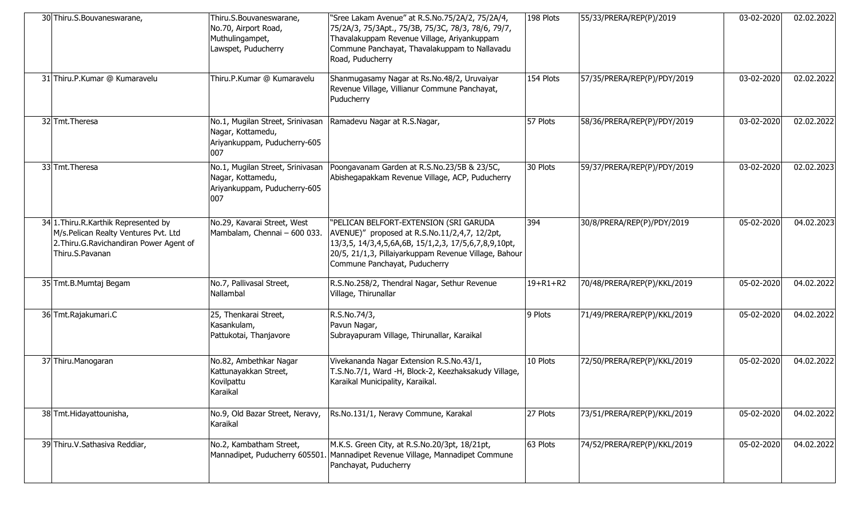| 30 Thiru.S.Bouvaneswarane,                                                                                                                     | Thiru.S.Bouvaneswarane,<br>No.70, Airport Road,<br>Muthulingampet,<br>Lawspet, Puducherry    | "Sree Lakam Avenue" at R.S.No.75/2A/2, 75/2A/4,<br>75/2A/3, 75/3Apt., 75/3B, 75/3C, 78/3, 78/6, 79/7,<br>Thavalakuppam Revenue Village, Ariyankuppam<br>Commune Panchayat, Thavalakuppam to Nallavadu<br>Road, Puducherry                 | 198 Plots      | 55/33/PRERA/REP(P)/2019     | 03-02-2020 | 02.02.2022 |
|------------------------------------------------------------------------------------------------------------------------------------------------|----------------------------------------------------------------------------------------------|-------------------------------------------------------------------------------------------------------------------------------------------------------------------------------------------------------------------------------------------|----------------|-----------------------------|------------|------------|
| 31 Thiru.P.Kumar @ Kumaravelu                                                                                                                  | Thiru.P.Kumar @ Kumaravelu                                                                   | Shanmugasamy Nagar at Rs.No.48/2, Uruvaiyar<br>Revenue Village, Villianur Commune Panchayat,<br>Puducherry                                                                                                                                | 154 Plots      | 57/35/PRERA/REP(P)/PDY/2019 | 03-02-2020 | 02.02.2022 |
| 32 Tmt. Theresa                                                                                                                                | No.1, Mugilan Street, Srinivasan<br>Nagar, Kottamedu,<br>Ariyankuppam, Puducherry-605<br>007 | Ramadevu Nagar at R.S.Nagar,                                                                                                                                                                                                              | 57 Plots       | 58/36/PRERA/REP(P)/PDY/2019 | 03-02-2020 | 02.02.2022 |
| 33 Tmt. Theresa                                                                                                                                | No.1, Mugilan Street, Srinivasan<br>Nagar, Kottamedu,<br>Ariyankuppam, Puducherry-605<br>007 | Poongavanam Garden at R.S.No.23/5B & 23/5C,<br>Abishegapakkam Revenue Village, ACP, Puducherry                                                                                                                                            | 30 Plots       | 59/37/PRERA/REP(P)/PDY/2019 | 03-02-2020 | 02.02.2023 |
| 34 1. Thiru. R. Karthik Represented by<br>M/s.Pelican Realty Ventures Pvt. Ltd<br>2. Thiru. G. Ravichandiran Power Agent of<br>Thiru.S.Pavanan | No.29, Kavarai Street, West<br>Mambalam, Chennai - 600 033.                                  | "PELICAN BELFORT-EXTENSION (SRI GARUDA<br>AVENUE)" proposed at R.S.No.11/2,4,7, 12/2pt,<br>13/3,5, 14/3,4,5,6A,6B, 15/1,2,3, 17/5,6,7,8,9,10pt,<br>20/5, 21/1,3, Pillaiyarkuppam Revenue Village, Bahour<br>Commune Panchayat, Puducherry | 394            | 30/8/PRERA/REP(P)/PDY/2019  | 05-02-2020 | 04.02.2023 |
| 35 Tmt.B.Mumtaj Begam                                                                                                                          | No.7, Pallivasal Street,<br>Nallambal                                                        | R.S.No.258/2, Thendral Nagar, Sethur Revenue<br>Village, Thirunallar                                                                                                                                                                      | $19 + R1 + R2$ | 70/48/PRERA/REP(P)/KKL/2019 | 05-02-2020 | 04.02.2022 |
| 36 Tmt.Rajakumari.C                                                                                                                            | 25, Thenkarai Street,<br>Kasankulam,<br>Pattukotai, Thanjavore                               | R.S.No.74/3,<br>Pavun Nagar,<br>Subrayapuram Village, Thirunallar, Karaikal                                                                                                                                                               | 9 Plots        | 71/49/PRERA/REP(P)/KKL/2019 | 05-02-2020 | 04.02.2022 |
| 37 Thiru.Manogaran                                                                                                                             | No.82, Ambethkar Nagar<br>Kattunayakkan Street,<br>Kovilpattu<br>Karaikal                    | Vivekananda Nagar Extension R.S.No.43/1,<br>T.S.No.7/1, Ward -H, Block-2, Keezhaksakudy Village,<br>Karaikal Municipality, Karaikal.                                                                                                      | 10 Plots       | 72/50/PRERA/REP(P)/KKL/2019 | 05-02-2020 | 04.02.2022 |
| 38 Tmt. Hidayattounisha,                                                                                                                       | No.9, Old Bazar Street, Neravy,<br>Karaikal                                                  | Rs.No.131/1, Neravy Commune, Karakal                                                                                                                                                                                                      | 27 Plots       | 73/51/PRERA/REP(P)/KKL/2019 | 05-02-2020 | 04.02.2022 |
| 39 Thiru. V. Sathasiva Reddiar,                                                                                                                | No.2, Kambatham Street,<br>Mannadipet, Puducherry 605501.                                    | M.K.S. Green City, at R.S.No.20/3pt, 18/21pt,<br>Mannadipet Revenue Village, Mannadipet Commune<br>Panchayat, Puducherry                                                                                                                  | 63 Plots       | 74/52/PRERA/REP(P)/KKL/2019 | 05-02-2020 | 04.02.2022 |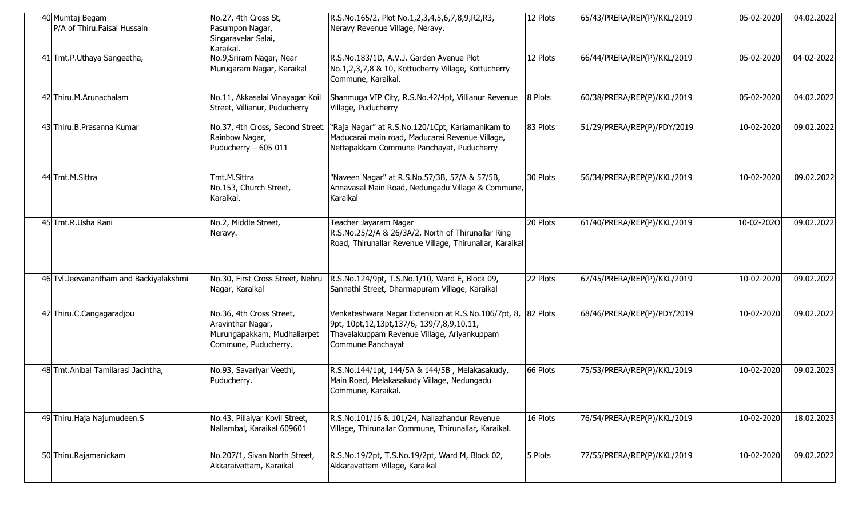| 40 Mumtaj Begam<br>P/A of Thiru. Faisal Hussain | No.27, 4th Cross St,<br>Pasumpon Nagar,<br>Singaravelar Salai,<br>Karaikal.                          | R.S.No.165/2, Plot No.1,2,3,4,5,6,7,8,9,R2,R3,<br>Neravy Revenue Village, Neravy.                                                                                           | 12 Plots | 65/43/PRERA/REP(P)/KKL/2019 | 05-02-2020 | 04.02.2022 |
|-------------------------------------------------|------------------------------------------------------------------------------------------------------|-----------------------------------------------------------------------------------------------------------------------------------------------------------------------------|----------|-----------------------------|------------|------------|
| 41 Tmt.P.Uthaya Sangeetha,                      | No.9, Sriram Nagar, Near<br>Murugaram Nagar, Karaikal                                                | R.S.No.183/1D, A.V.J. Garden Avenue Plot<br>No.1,2,3,7,8 & 10, Kottucherry Village, Kottucherry<br>Commune, Karaikal.                                                       | 12 Plots | 66/44/PRERA/REP(P)/KKL/2019 | 05-02-2020 | 04-02-2022 |
| 42 Thiru.M.Arunachalam                          | No.11, Akkasalai Vinayagar Koil<br>Street, Villianur, Puducherry                                     | Shanmuga VIP City, R.S.No.42/4pt, Villianur Revenue<br>Village, Puducherry                                                                                                  | 8 Plots  | 60/38/PRERA/REP(P)/KKL/2019 | 05-02-2020 | 04.02.2022 |
| 43 Thiru.B.Prasanna Kumar                       | No.37, 4th Cross, Second Street.<br>Rainbow Nagar,<br>Puducherry - 605 011                           | 'Raja Nagar" at R.S.No.120/1Cpt, Kariamanikam to<br>Maducarai main road, Maducarai Revenue Village,<br>Nettapakkam Commune Panchayat, Puducherry                            | 83 Plots | 51/29/PRERA/REP(P)/PDY/2019 | 10-02-2020 | 09.02.2022 |
| 44 Tmt.M.Sittra                                 | Tmt.M.Sittra<br>No.153, Church Street,<br>Karaikal.                                                  | "Naveen Nagar" at R.S.No.57/3B, 57/A & 57/5B,<br>Annavasal Main Road, Nedungadu Village & Commune,<br>Karaikal                                                              | 30 Plots | 56/34/PRERA/REP(P)/KKL/2019 | 10-02-2020 | 09.02.2022 |
| 45 Tmt.R.Usha Rani                              | No.2, Middle Street,<br>Neravy.                                                                      | Teacher Jayaram Nagar<br>R.S.No.25/2/A & 26/3A/2, North of Thirunallar Ring<br>Road, Thirunallar Revenue Village, Thirunallar, Karaikal                                     | 20 Plots | 61/40/PRERA/REP(P)/KKL/2019 | 10-02-2020 | 09.02.2022 |
| 46 Tvl. Jeevanantham and Backiyalakshmi         | No.30, First Cross Street, Nehru<br>Nagar, Karaikal                                                  | R.S.No.124/9pt, T.S.No.1/10, Ward E, Block 09,<br>Sannathi Street, Dharmapuram Village, Karaikal                                                                            | 22 Plots | 67/45/PRERA/REP(P)/KKL/2019 | 10-02-2020 | 09.02.2022 |
| 47 Thiru.C.Cangagaradjou                        | No.36, 4th Cross Street,<br>Aravinthar Nagar,<br>Murungapakkam, Mudhaliarpet<br>Commune, Puducherry. | Venkateshwara Nagar Extension at R.S.No.106/7pt, 8,<br>9pt, 10pt, 12, 13pt, 137/6, 139/7, 8, 9, 10, 11,<br>Thavalakuppam Revenue Village, Ariyankuppam<br>Commune Panchayat | 82 Plots | 68/46/PRERA/REP(P)/PDY/2019 | 10-02-2020 | 09.02.2022 |
| 48 Tmt. Anibal Tamilarasi Jacintha,             | No.93, Savariyar Veethi,<br>Puducherry.                                                              | R.S.No.144/1pt, 144/5A & 144/5B, Melakasakudy,<br>Main Road, Melakasakudy Village, Nedungadu<br>Commune, Karaikal.                                                          | 66 Plots | 75/53/PRERA/REP(P)/KKL/2019 | 10-02-2020 | 09.02.2023 |
| 49 Thiru. Haja Najumudeen. S                    | No.43, Pillaiyar Kovil Street,<br>Nallambal, Karaikal 609601                                         | R.S.No.101/16 & 101/24, Nallazhandur Revenue<br>Village, Thirunallar Commune, Thirunallar, Karaikal.                                                                        | 16 Plots | 76/54/PRERA/REP(P)/KKL/2019 | 10-02-2020 | 18.02.2023 |
| 50 Thiru.Rajamanickam                           | No.207/1, Sivan North Street,<br>Akkaraivattam, Karaikal                                             | R.S.No.19/2pt, T.S.No.19/2pt, Ward M, Block 02,<br>Akkaravattam Village, Karaikal                                                                                           | 5 Plots  | 77/55/PRERA/REP(P)/KKL/2019 | 10-02-2020 | 09.02.2022 |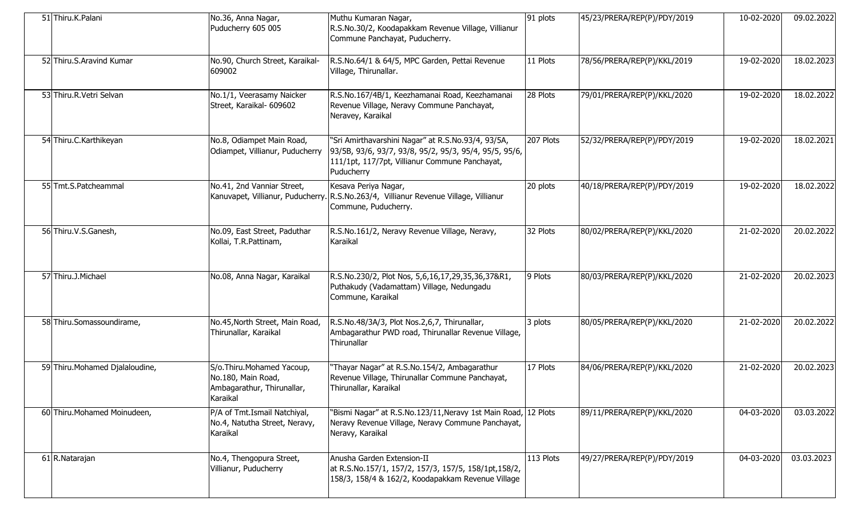| 51 Thiru.K.Palani               | No.36, Anna Nagar,<br>Puducherry 605 005                                                  | Muthu Kumaran Nagar,<br>R.S.No.30/2, Koodapakkam Revenue Village, Villianur<br>Commune Panchayat, Puducherry.                                                                | 91 plots  | 45/23/PRERA/REP(P)/PDY/2019 | 10-02-2020 | 09.02.2022 |
|---------------------------------|-------------------------------------------------------------------------------------------|------------------------------------------------------------------------------------------------------------------------------------------------------------------------------|-----------|-----------------------------|------------|------------|
| 52 Thiru.S.Aravind Kumar        | No.90, Church Street, Karaikal-<br>609002                                                 | R.S.No.64/1 & 64/5, MPC Garden, Pettai Revenue<br>Village, Thirunallar.                                                                                                      | 11 Plots  | 78/56/PRERA/REP(P)/KKL/2019 | 19-02-2020 | 18.02.2023 |
| 53 Thiru.R.Vetri Selvan         | No.1/1, Veerasamy Naicker<br>Street, Karaikal- 609602                                     | R.S.No.167/4B/1, Keezhamanai Road, Keezhamanai<br>Revenue Village, Neravy Commune Panchayat,<br>Neravey, Karaikal                                                            | 28 Plots  | 79/01/PRERA/REP(P)/KKL/2020 | 19-02-2020 | 18.02.2022 |
| 54 Thiru.C.Karthikeyan          | No.8, Odiampet Main Road,<br>Odiampet, Villianur, Puducherry                              | "Sri Amirthavarshini Nagar" at R.S.No.93/4, 93/5A,<br>93/5B, 93/6, 93/7, 93/8, 95/2, 95/3, 95/4, 95/5, 95/6,<br>111/1pt, 117/7pt, Villianur Commune Panchayat,<br>Puducherry | 207 Plots | 52/32/PRERA/REP(P)/PDY/2019 | 19-02-2020 | 18.02.2021 |
| 55 Tmt.S.Patcheammal            | No.41, 2nd Vanniar Street,                                                                | Kesava Periya Nagar,<br>Kanuvapet, Villianur, Puducherry. R.S.No.263/4, Villianur Revenue Village, Villianur<br>Commune, Puducherry.                                         | 20 plots  | 40/18/PRERA/REP(P)/PDY/2019 | 19-02-2020 | 18.02.2022 |
| 56 Thiru.V.S.Ganesh,            | No.09, East Street, Paduthar<br>Kollai, T.R.Pattinam,                                     | R.S.No.161/2, Neravy Revenue Village, Neravy,<br>Karaikal                                                                                                                    | 32 Plots  | 80/02/PRERA/REP(P)/KKL/2020 | 21-02-2020 | 20.02.2022 |
| 57 Thiru.J.Michael              | No.08, Anna Nagar, Karaikal                                                               | R.S.No.230/2, Plot Nos, 5,6,16,17,29,35,36,37&R1,<br>Puthakudy (Vadamattam) Village, Nedungadu<br>Commune, Karaikal                                                          | 9 Plots   | 80/03/PRERA/REP(P)/KKL/2020 | 21-02-2020 | 20.02.2023 |
| 58 Thiru.Somassoundirame,       | No.45, North Street, Main Road,<br>Thirunallar, Karaikal                                  | R.S.No.48/3A/3, Plot Nos.2,6,7, Thirunallar,<br>Ambagarathur PWD road, Thirunallar Revenue Village,<br>Thirunallar                                                           | 3 plots   | 80/05/PRERA/REP(P)/KKL/2020 | 21-02-2020 | 20.02.2022 |
| 59 Thiru. Mohamed Djalaloudine, | S/o.Thiru.Mohamed Yacoup,<br>No.180, Main Road,<br>Ambagarathur, Thirunallar,<br>Karaikal | "Thayar Nagar" at R.S.No.154/2, Ambagarathur<br>Revenue Village, Thirunallar Commune Panchayat,<br>Thirunallar, Karaikal                                                     | 17 Plots  | 84/06/PRERA/REP(P)/KKL/2020 | 21-02-2020 | 20.02.2023 |
| 60 Thiru. Mohamed Moinudeen,    | P/A of Tmt. Ismail Natchiyal,<br>No.4, Natutha Street, Neravy,<br>Karaikal                | "Bismi Nagar" at R.S.No.123/11, Neravy 1st Main Road, 12 Plots<br>Neravy Revenue Village, Neravy Commune Panchayat,<br>Neravy, Karaikal                                      |           | 89/11/PRERA/REP(P)/KKL/2020 | 04-03-2020 | 03.03.2022 |
| 61 R.Natarajan                  | No.4, Thengopura Street,<br>Villianur, Puducherry                                         | Anusha Garden Extension-II<br>at R.S.No.157/1, 157/2, 157/3, 157/5, 158/1pt,158/2,<br>158/3, 158/4 & 162/2, Koodapakkam Revenue Village                                      | 113 Plots | 49/27/PRERA/REP(P)/PDY/2019 | 04-03-2020 | 03.03.2023 |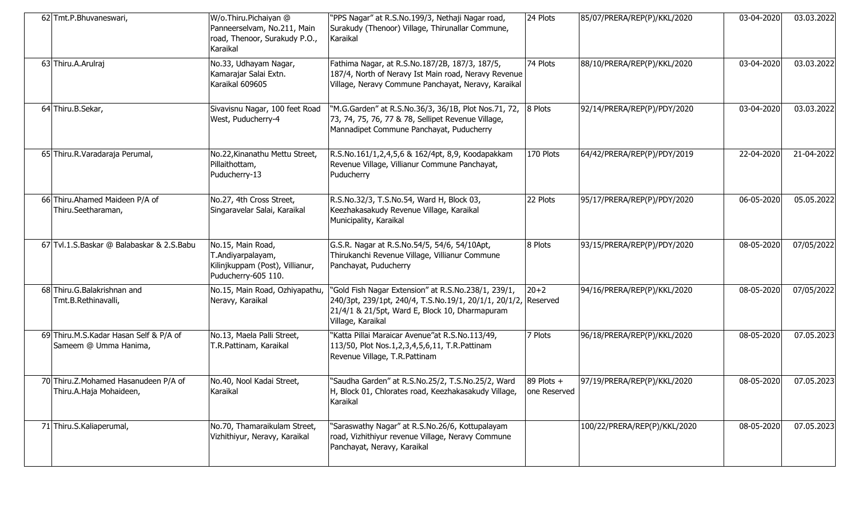| 62 Tmt.P.Bhuvaneswari,                                          | W/o.Thiru.Pichaiyan @<br>Panneerselvam, No.211, Main<br>road, Thenoor, Surakudy P.O.,<br>Karaikal | "PPS Nagar" at R.S.No.199/3, Nethaji Nagar road,<br>Surakudy (Thenoor) Village, Thirunallar Commune,<br>Karaikal                                                                             | 24 Plots                     | 85/07/PRERA/REP(P)/KKL/2020  | 03-04-2020 | 03.03.2022 |
|-----------------------------------------------------------------|---------------------------------------------------------------------------------------------------|----------------------------------------------------------------------------------------------------------------------------------------------------------------------------------------------|------------------------------|------------------------------|------------|------------|
| 63 Thiru.A.Arulraj                                              | No.33, Udhayam Nagar,<br>Kamarajar Salai Extn.<br>Karaikal 609605                                 | Fathima Nagar, at R.S.No.187/2B, 187/3, 187/5,<br>187/4, North of Neravy Ist Main road, Neravy Revenue<br>Village, Neravy Commune Panchayat, Neravy, Karaikal                                | 74 Plots                     | 88/10/PRERA/REP(P)/KKL/2020  | 03-04-2020 | 03.03.2022 |
| 64 Thiru.B.Sekar,                                               | Sivavisnu Nagar, 100 feet Road<br>West, Puducherry-4                                              | "M.G.Garden" at R.S.No.36/3, 36/1B, Plot Nos.71, 72,<br>73, 74, 75, 76, 77 & 78, Sellipet Revenue Village,<br>Mannadipet Commune Panchayat, Puducherry                                       | 8 Plots                      | 92/14/PRERA/REP(P)/PDY/2020  | 03-04-2020 | 03.03.2022 |
| 65 Thiru.R. Varadaraja Perumal,                                 | No.22, Kinanathu Mettu Street,<br>Pillaithottam,<br>Puducherry-13                                 | R.S.No.161/1,2,4,5,6 & 162/4pt, 8,9, Koodapakkam<br>Revenue Village, Villianur Commune Panchayat,<br>Puducherry                                                                              | 170 Plots                    | 64/42/PRERA/REP(P)/PDY/2019  | 22-04-2020 | 21-04-2022 |
| 66 Thiru. Ahamed Maideen P/A of<br>Thiru.Seetharaman,           | No.27, 4th Cross Street,<br>Singaravelar Salai, Karaikal                                          | R.S.No.32/3, T.S.No.54, Ward H, Block 03,<br>Keezhakasakudy Revenue Village, Karaikal<br>Municipality, Karaikal                                                                              | 22 Plots                     | 95/17/PRERA/REP(P)/PDY/2020  | 06-05-2020 | 05.05.2022 |
| 67 Tvl.1.S.Baskar @ Balabaskar & 2.S.Babu                       | No.15, Main Road,<br>T.Andiyarpalayam,<br>Kilinjkuppam (Post), Villianur,<br>Puducherry-605 110.  | G.S.R. Nagar at R.S.No.54/5, 54/6, 54/10Apt,<br>Thirukanchi Revenue Village, Villianur Commune<br>Panchayat, Puducherry                                                                      | 8 Plots                      | 93/15/PRERA/REP(P)/PDY/2020  | 08-05-2020 | 07/05/2022 |
| 68 Thiru.G.Balakrishnan and<br>Tmt.B.Rethinavalli,              | No.15, Main Road, Ozhiyapathu,<br>Neravy, Karaikal                                                | "Gold Fish Nagar Extension" at R.S.No.238/1, 239/1,<br>240/3pt, 239/1pt, 240/4, T.S.No.19/1, 20/1/1, 20/1/2, Reserved<br>21/4/1 & 21/5pt, Ward E, Block 10, Dharmapuram<br>Village, Karaikal | $20 + 2$                     | 94/16/PRERA/REP(P)/KKL/2020  | 08-05-2020 | 07/05/2022 |
| 69 Thiru.M.S.Kadar Hasan Self & P/A of<br>Sameem @ Umma Hanima, | No.13, Maela Palli Street,<br>T.R.Pattinam, Karaikal                                              | "Katta Pillai Maraicar Avenue"at R.S.No.113/49,<br>113/50, Plot Nos.1,2,3,4,5,6,11, T.R.Pattinam<br>Revenue Village, T.R.Pattinam                                                            | 7 Plots                      | 96/18/PRERA/REP(P)/KKL/2020  | 08-05-2020 | 07.05.2023 |
| 70 Thiru.Z.Mohamed Hasanudeen P/A of<br>Thiru.A.Haja Mohaideen, | No.40, Nool Kadai Street,<br>Karaikal                                                             | "Saudha Garden" at R.S.No.25/2, T.S.No.25/2, Ward<br>H, Block 01, Chlorates road, Keezhakasakudy Village,<br>Karaikal                                                                        | 89 Plots $+$<br>one Reserved | 97/19/PRERA/REP(P)/KKL/2020  | 08-05-2020 | 07.05.2023 |
| 71 Thiru.S.Kaliaperumal,                                        | No.70, Thamaraikulam Street,<br>Vizhithiyur, Neravy, Karaikal                                     | "Saraswathy Nagar" at R.S.No.26/6, Kottupalayam<br>road, Vizhithiyur revenue Village, Neravy Commune<br>Panchayat, Neravy, Karaikal                                                          |                              | 100/22/PRERA/REP(P)/KKL/2020 | 08-05-2020 | 07.05.2023 |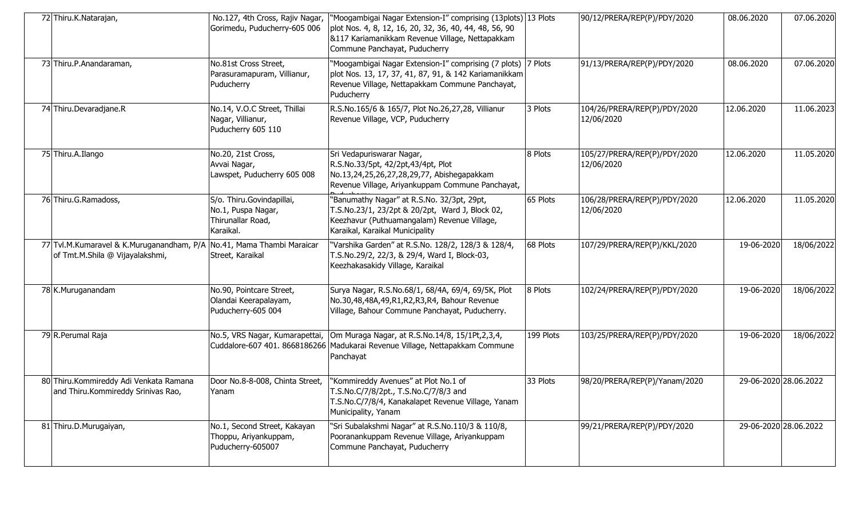| 72 Thiru.K.Natarajan,                                                                                    | No.127, 4th Cross, Rajiv Nagar,<br>Gorimedu, Puducherry-605 006                   | "Moogambigai Nagar Extension-I" comprising (13plots) 13 Plots<br>plot Nos. 4, 8, 12, 16, 20, 32, 36, 40, 44, 48, 56, 90<br>&117 Kariamanikkam Revenue Village, Nettapakkam<br>Commune Panchayat, Puducherry |           | 90/12/PRERA/REP(P)/PDY/2020                | 08.06.2020 | 07.06.2020            |
|----------------------------------------------------------------------------------------------------------|-----------------------------------------------------------------------------------|-------------------------------------------------------------------------------------------------------------------------------------------------------------------------------------------------------------|-----------|--------------------------------------------|------------|-----------------------|
| 73 Thiru.P.Anandaraman,                                                                                  | No.81st Cross Street,<br>Parasuramapuram, Villianur,<br>Puducherry                | "Moogambigai Nagar Extension-I" comprising (7 plots) 7 Plots<br>plot Nos. 13, 17, 37, 41, 87, 91, & 142 Kariamanikkam<br>Revenue Village, Nettapakkam Commune Panchayat,<br>Puducherry                      |           | 91/13/PRERA/REP(P)/PDY/2020                | 08.06.2020 | 07.06.2020            |
| 74 Thiru.Devaradjane.R                                                                                   | No.14, V.O.C Street, Thillai<br>Nagar, Villianur,<br>Puducherry 605 110           | R.S.No.165/6 & 165/7, Plot No.26,27,28, Villianur<br>Revenue Village, VCP, Puducherry                                                                                                                       | 3 Plots   | 104/26/PRERA/REP(P)/PDY/2020<br>12/06/2020 | 12.06.2020 | 11.06.2023            |
| 75 Thiru.A.Ilango                                                                                        | No.20, 21st Cross,<br>Avvai Nagar,<br>Lawspet, Puducherry 605 008                 | Sri Vedapuriswarar Nagar,<br>R.S.No.33/5pt, 42/2pt,43/4pt, Plot<br>No.13,24,25,26,27,28,29,77, Abishegapakkam<br>Revenue Village, Ariyankuppam Commune Panchayat,                                           | 8 Plots   | 105/27/PRERA/REP(P)/PDY/2020<br>12/06/2020 | 12.06.2020 | 11.05.2020            |
| 76 Thiru.G.Ramadoss,                                                                                     | S/o. Thiru.Govindapillai,<br>No.1, Puspa Nagar,<br>Thirunallar Road,<br>Karaikal. | "Banumathy Nagar" at R.S.No. 32/3pt, 29pt,<br>T.S.No.23/1, 23/2pt & 20/2pt, Ward J, Block 02,<br>Keezhavur (Puthuamangalam) Revenue Village,<br>Karaikal, Karaikal Municipality                             | 65 Plots  | 106/28/PRERA/REP(P)/PDY/2020<br>12/06/2020 | 12.06.2020 | 11.05.2020            |
| 77 Tvl.M.Kumaravel & K.Muruganandham, P/A No.41, Mama Thambi Maraicar<br>of Tmt.M.Shila @ Vijayalakshmi, | Street, Karaikal                                                                  | 'Varshika Garden" at R.S.No. 128/2, 128/3 & 128/4,<br>T.S.No.29/2, 22/3, & 29/4, Ward I, Block-03,<br>Keezhakasakidy Village, Karaikal                                                                      | 68 Plots  | 107/29/PRERA/REP(P)/KKL/2020               | 19-06-2020 | 18/06/2022            |
| 78 K.Muruganandam                                                                                        | No.90, Pointcare Street,<br>Olandai Keerapalayam,<br>Puducherry-605 004           | Surya Nagar, R.S.No.68/1, 68/4A, 69/4, 69/5K, Plot<br>No.30,48,48A,49,R1,R2,R3,R4, Bahour Revenue<br>Village, Bahour Commune Panchayat, Puducherry.                                                         | 8 Plots   | 102/24/PRERA/REP(P)/PDY/2020               | 19-06-2020 | 18/06/2022            |
| 79 R.Perumal Raja                                                                                        |                                                                                   | No.5, VRS Nagar, Kumarapettai, Om Muraga Nagar, at R.S.No.14/8, 15/1Pt,2,3,4,<br>Cuddalore-607 401. 8668186266 Madukarai Revenue Village, Nettapakkam Commune<br>Panchayat                                  | 199 Plots | 103/25/PRERA/REP(P)/PDY/2020               | 19-06-2020 | 18/06/2022            |
| 80 Thiru.Kommireddy Adi Venkata Ramana<br>and Thiru.Kommireddy Srinivas Rao,                             | Door No.8-8-008, Chinta Street,<br>Yanam                                          | 'Kommireddy Avenues" at Plot No.1 of<br>T.S.No.C/7/8/2pt., T.S.No.C/7/8/3 and<br>T.S.No.C/7/8/4, Kanakalapet Revenue Village, Yanam<br>Municipality, Yanam                                                  | 33 Plots  | 98/20/PRERA/REP(P)/Yanam/2020              |            | 29-06-2020 28.06.2022 |
| 81 Thiru.D.Murugaiyan,                                                                                   | No.1, Second Street, Kakayan<br>Thoppu, Ariyankuppam,<br>Puducherry-605007        | "Sri Subalakshmi Nagar" at R.S.No.110/3 & 110/8,<br>Pooranankuppam Revenue Village, Ariyankuppam<br>Commune Panchayat, Puducherry                                                                           |           | 99/21/PRERA/REP(P)/PDY/2020                |            | 29-06-2020 28.06.2022 |